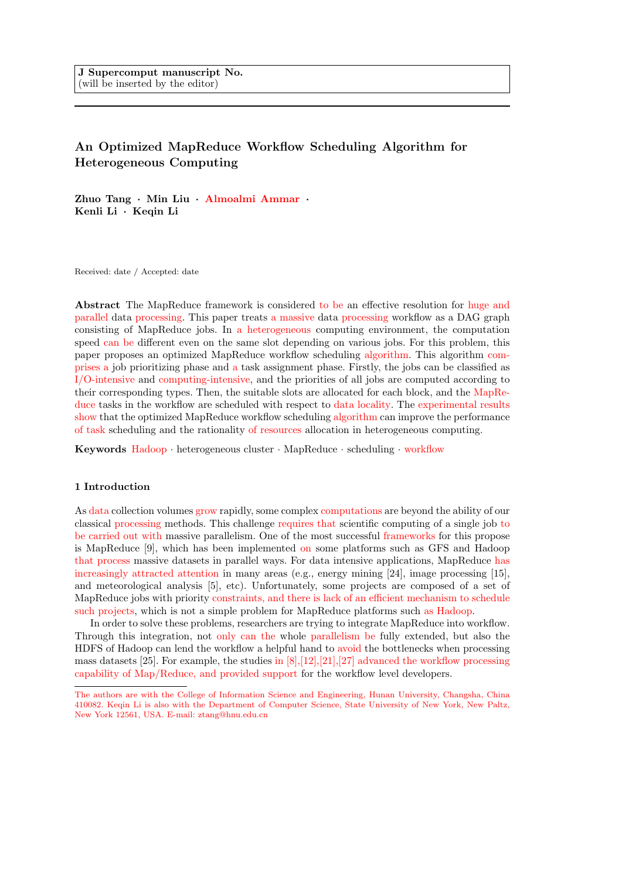# An Optimized MapReduce Workflow Scheduling Algorithm for Heterogeneous Computing

Zhuo Tang · Min Liu · Almoalmi Ammar · Kenli Li · Keqin Li

Received: date / Accepted: date

Abstract The MapReduce framework is considered to be an effective resolution for huge and parallel data processing. This paper treats a massive data processing workflow as a DAG graph consisting of MapReduce jobs. In a heterogeneous computing environment, the computation speed can be different even on the same slot depending on various jobs. For this problem, this paper proposes an optimized MapReduce workflow scheduling algorithm. This algorithm comprises a job prioritizing phase and a task assignment phase. Firstly, the jobs can be classified as I/O-intensive and computing-intensive, and the priorities of all jobs are computed according to their corresponding types. Then, the suitable slots are allocated for each block, and the MapReduce tasks in the workflow are scheduled with respect to data locality. The experimental results show that the optimized MapReduce workflow scheduling algorithm can improve the performance of task scheduling and the rationality of resources allocation in heterogeneous computing.

Keywords Hadoop · heterogeneous cluster · MapReduce · scheduling · workflow

## 1 Introduction

As data collection volumes grow rapidly, some complex computations are beyond the ability of our classical processing methods. This challenge requires that scientific computing of a single job to be carried out with massive parallelism. One of the most successful frameworks for this propose is MapReduce [9], which has been implemented on some platforms such as GFS and Hadoop that process massive datasets in parallel ways. For data intensive applications, MapReduce has increasingly attracted attention in many areas (e.g., energy mining [24], image processing [15], and meteorological analysis [5], etc). Unfortunately, some projects are composed of a set of MapReduce jobs with priority constraints, and there is lack of an efficient mechanism to schedule such projects, which is not a simple problem for MapReduce platforms such as Hadoop.

In order to solve these problems, researchers are trying to integrate MapReduce into workflow. Through this integration, not only can the whole parallelism be fully extended, but also the HDFS of Hadoop can lend the workflow a helpful hand to avoid the bottlenecks when processing mass datasets [25]. For example, the studies in  $[8], [12], [21], [27]$  advanced the workflow processing capability of Map/Reduce, and provided support for the workflow level developers.

The authors are with the College of Information Science and Engineering, Hunan University, Changsha, China 410082. Keqin Li is also with the Department of Computer Science, State University of New York, New Paltz, New York 12561, USA. E-mail: ztang@hnu.edu.cn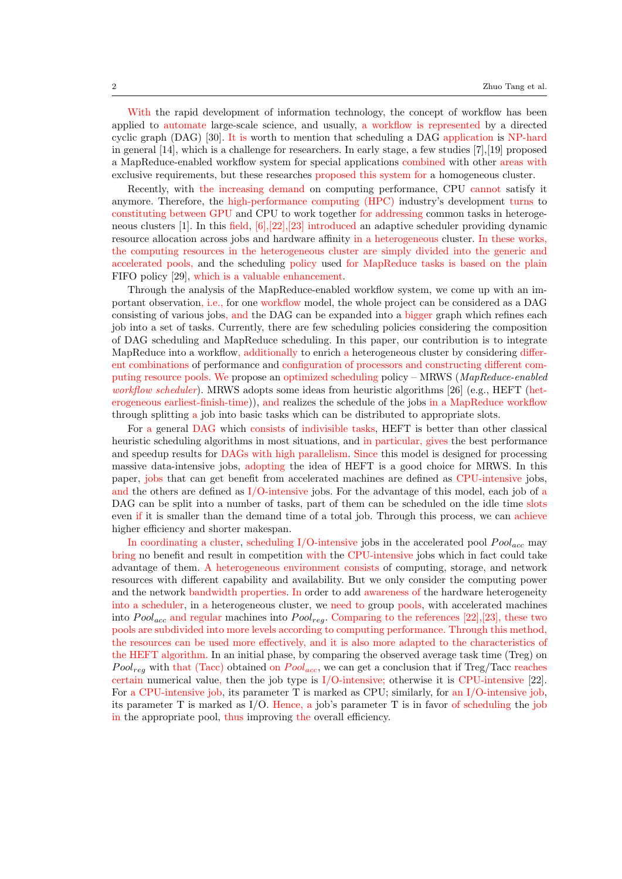With the rapid development of information technology, the concept of workflow has been applied to automate large-scale science, and usually, a workflow is represented by a directed cyclic graph (DAG) [30]. It is worth to mention that scheduling a DAG application is NP-hard in general [14], which is a challenge for researchers. In early stage, a few studies [7],[19] proposed a MapReduce-enabled workflow system for special applications combined with other areas with exclusive requirements, but these researches proposed this system for a homogeneous cluster.

Recently, with the increasing demand on computing performance, CPU cannot satisfy it anymore. Therefore, the high-performance computing (HPC) industry's development turns to constituting between GPU and CPU to work together for addressing common tasks in heterogeneous clusters [1]. In this field, [6],[22],[23] introduced an adaptive scheduler providing dynamic resource allocation across jobs and hardware affinity in a heterogeneous cluster. In these works, the computing resources in the heterogeneous cluster are simply divided into the generic and accelerated pools, and the scheduling policy used for MapReduce tasks is based on the plain FIFO policy [29], which is a valuable enhancement.

Through the analysis of the MapReduce-enabled workflow system, we come up with an important observation, i.e., for one workflow model, the whole project can be considered as a DAG consisting of various jobs, and the DAG can be expanded into a bigger graph which refines each job into a set of tasks. Currently, there are few scheduling policies considering the composition of DAG scheduling and MapReduce scheduling. In this paper, our contribution is to integrate MapReduce into a workflow, additionally to enrich a heterogeneous cluster by considering different combinations of performance and configuration of processors and constructing different computing resource pools. We propose an optimized scheduling policy – MRWS ( $MapReduce\text{-}enabled$ workflow scheduler). MRWS adopts some ideas from heuristic algorithms [26] (e.g., HEFT (heterogeneous earliest-finish-time)), and realizes the schedule of the jobs in a MapReduce workflow through splitting a job into basic tasks which can be distributed to appropriate slots.

For a general DAG which consists of indivisible tasks, HEFT is better than other classical heuristic scheduling algorithms in most situations, and in particular, gives the best performance and speedup results for DAGs with high parallelism. Since this model is designed for processing massive data-intensive jobs, adopting the idea of HEFT is a good choice for MRWS. In this paper, jobs that can get benefit from accelerated machines are defined as CPU-intensive jobs, and the others are defined as I/O-intensive jobs. For the advantage of this model, each job of a DAG can be split into a number of tasks, part of them can be scheduled on the idle time slots even if it is smaller than the demand time of a total job. Through this process, we can achieve higher efficiency and shorter makespan.

In coordinating a cluster, scheduling I/O-intensive jobs in the accelerated pool  $Pool_{acc}$  may bring no benefit and result in competition with the CPU-intensive jobs which in fact could take advantage of them. A heterogeneous environment consists of computing, storage, and network resources with different capability and availability. But we only consider the computing power and the network bandwidth properties. In order to add awareness of the hardware heterogeneity into a scheduler, in a heterogeneous cluster, we need to group pools, with accelerated machines into  $Pool_{acc}$  and regular machines into  $Pool_{rec}$ . Comparing to the references [22],[23], these two pools are subdivided into more levels according to computing performance. Through this method, the resources can be used more effectively, and it is also more adapted to the characteristics of the HEFT algorithm. In an initial phase, by comparing the observed average task time (Treg) on  $Pool_{req}$  with that (Tacc) obtained on  $Pool_{acc}$ , we can get a conclusion that if Treg/Tacc reaches certain numerical value, then the job type is  $I/O$ -intensive; otherwise it is CPU-intensive [22]. For a CPU-intensive job, its parameter T is marked as CPU; similarly, for an I/O-intensive job, its parameter T is marked as  $I/O$ . Hence, a job's parameter T is in favor of scheduling the job in the appropriate pool, thus improving the overall efficiency.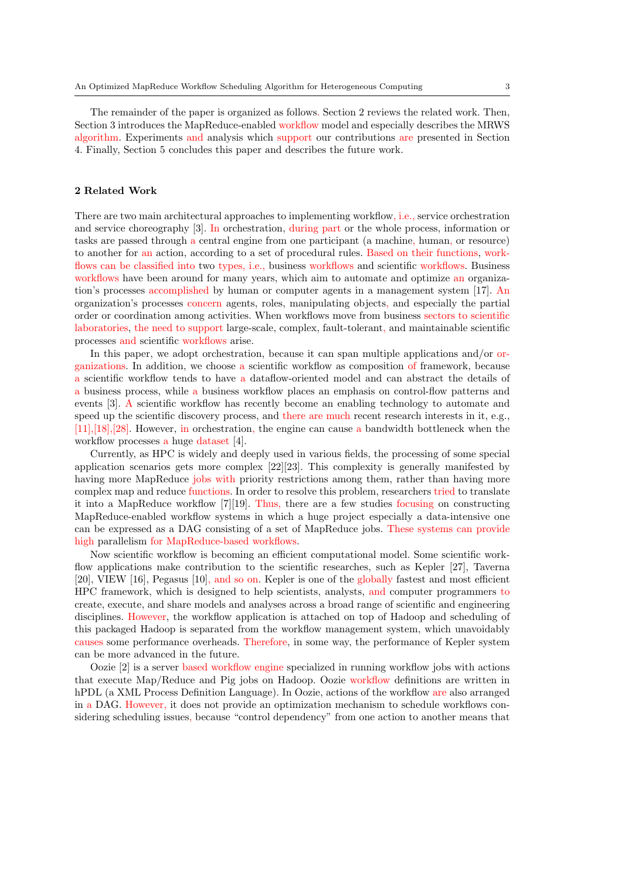The remainder of the paper is organized as follows. Section 2 reviews the related work. Then, Section 3 introduces the MapReduce-enabled workflow model and especially describes the MRWS algorithm. Experiments and analysis which support our contributions are presented in Section 4. Finally, Section 5 concludes this paper and describes the future work.

# 2 Related Work

There are two main architectural approaches to implementing workflow, i.e., service orchestration and service choreography [3]. In orchestration, during part or the whole process, information or tasks are passed through a central engine from one participant (a machine, human, or resource) to another for an action, according to a set of procedural rules. Based on their functions, workflows can be classified into two types, i.e., business workflows and scientific workflows. Business workflows have been around for many years, which aim to automate and optimize an organization's processes accomplished by human or computer agents in a management system [17]. An organization's processes concern agents, roles, manipulating objects, and especially the partial order or coordination among activities. When workflows move from business sectors to scientific laboratories, the need to support large-scale, complex, fault-tolerant, and maintainable scientific processes and scientific workflows arise.

In this paper, we adopt orchestration, because it can span multiple applications and/or organizations. In addition, we choose a scientific workflow as composition of framework, because a scientific workflow tends to have a dataflow-oriented model and can abstract the details of a business process, while a business workflow places an emphasis on control-flow patterns and events [3]. A scientific workflow has recently become an enabling technology to automate and speed up the scientific discovery process, and there are much recent research interests in it, e.g., [11],[18],[28]. However, in orchestration, the engine can cause a bandwidth bottleneck when the workflow processes a huge dataset [4].

Currently, as HPC is widely and deeply used in various fields, the processing of some special application scenarios gets more complex [22][23]. This complexity is generally manifested by having more MapReduce jobs with priority restrictions among them, rather than having more complex map and reduce functions. In order to resolve this problem, researchers tried to translate it into a MapReduce workflow [7][19]. Thus, there are a few studies focusing on constructing MapReduce-enabled workflow systems in which a huge project especially a data-intensive one can be expressed as a DAG consisting of a set of MapReduce jobs. These systems can provide high parallelism for MapReduce-based workflows.

Now scientific workflow is becoming an efficient computational model. Some scientific workflow applications make contribution to the scientific researches, such as Kepler [27], Taverna [20], VIEW [16], Pegasus [10], and so on. Kepler is one of the globally fastest and most efficient HPC framework, which is designed to help scientists, analysts, and computer programmers to create, execute, and share models and analyses across a broad range of scientific and engineering disciplines. However, the workflow application is attached on top of Hadoop and scheduling of this packaged Hadoop is separated from the workflow management system, which unavoidably causes some performance overheads. Therefore, in some way, the performance of Kepler system can be more advanced in the future.

Oozie [2] is a server based workflow engine specialized in running workflow jobs with actions that execute Map/Reduce and Pig jobs on Hadoop. Oozie workflow definitions are written in hPDL (a XML Process Definition Language). In Oozie, actions of the workflow are also arranged in a DAG. However, it does not provide an optimization mechanism to schedule workflows considering scheduling issues, because "control dependency" from one action to another means that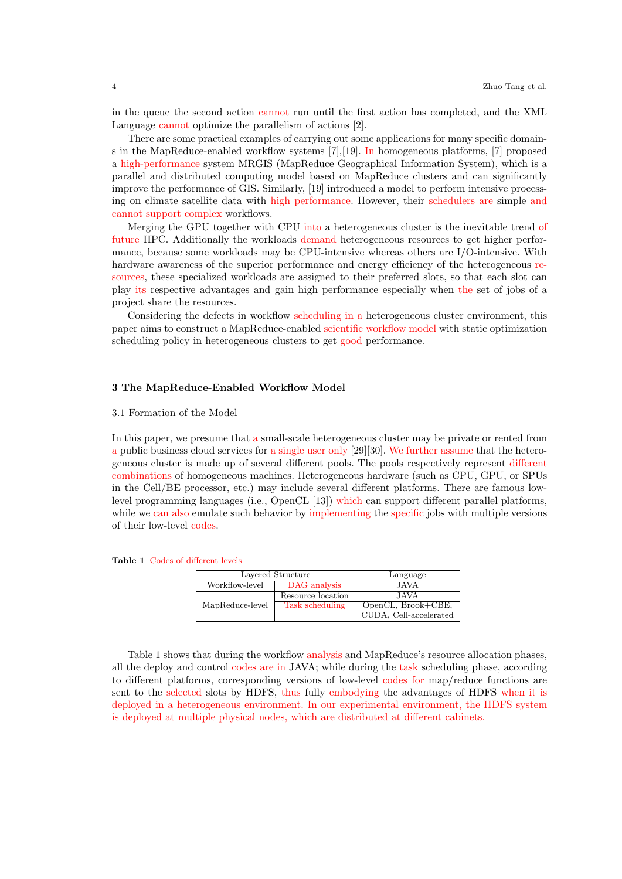in the queue the second action cannot run until the first action has completed, and the XML Language cannot optimize the parallelism of actions [2].

There are some practical examples of carrying out some applications for many specific domains in the MapReduce-enabled workflow systems [7],[19]. In homogeneous platforms, [7] proposed a high-performance system MRGIS (MapReduce Geographical Information System), which is a parallel and distributed computing model based on MapReduce clusters and can significantly improve the performance of GIS. Similarly, [19] introduced a model to perform intensive processing on climate satellite data with high performance. However, their schedulers are simple and cannot support complex workflows.

Merging the GPU together with CPU into a heterogeneous cluster is the inevitable trend of future HPC. Additionally the workloads demand heterogeneous resources to get higher performance, because some workloads may be CPU-intensive whereas others are I/O-intensive. With hardware awareness of the superior performance and energy efficiency of the heterogeneous resources, these specialized workloads are assigned to their preferred slots, so that each slot can play its respective advantages and gain high performance especially when the set of jobs of a project share the resources.

Considering the defects in workflow scheduling in a heterogeneous cluster environment, this paper aims to construct a MapReduce-enabled scientific workflow model with static optimization scheduling policy in heterogeneous clusters to get good performance.

## 3 The MapReduce-Enabled Workflow Model

## 3.1 Formation of the Model

In this paper, we presume that a small-scale heterogeneous cluster may be private or rented from a public business cloud services for a single user only [29][30]. We further assume that the heterogeneous cluster is made up of several different pools. The pools respectively represent different combinations of homogeneous machines. Heterogeneous hardware (such as CPU, GPU, or SPUs in the Cell/BE processor, etc.) may include several different platforms. There are famous lowlevel programming languages (i.e., OpenCL [13]) which can support different parallel platforms, while we can also emulate such behavior by implementing the specific jobs with multiple versions of their low-level codes.

|                 | Layered Structure | Language               |
|-----------------|-------------------|------------------------|
| Workflow-level  | DAG analysis      | <b>JAVA</b>            |
|                 | Resource location | JAVA.                  |
| MapReduce-level | Task scheduling   | OpenCL, Brook+CBE,     |
|                 |                   | CUDA, Cell-accelerated |

Table 1 Codes of different levels

Table 1 shows that during the workflow analysis and MapReduce's resource allocation phases, all the deploy and control codes are in JAVA; while during the task scheduling phase, according to different platforms, corresponding versions of low-level codes for map/reduce functions are sent to the selected slots by HDFS, thus fully embodying the advantages of HDFS when it is deployed in a heterogeneous environment. In our experimental environment, the HDFS system is deployed at multiple physical nodes, which are distributed at different cabinets.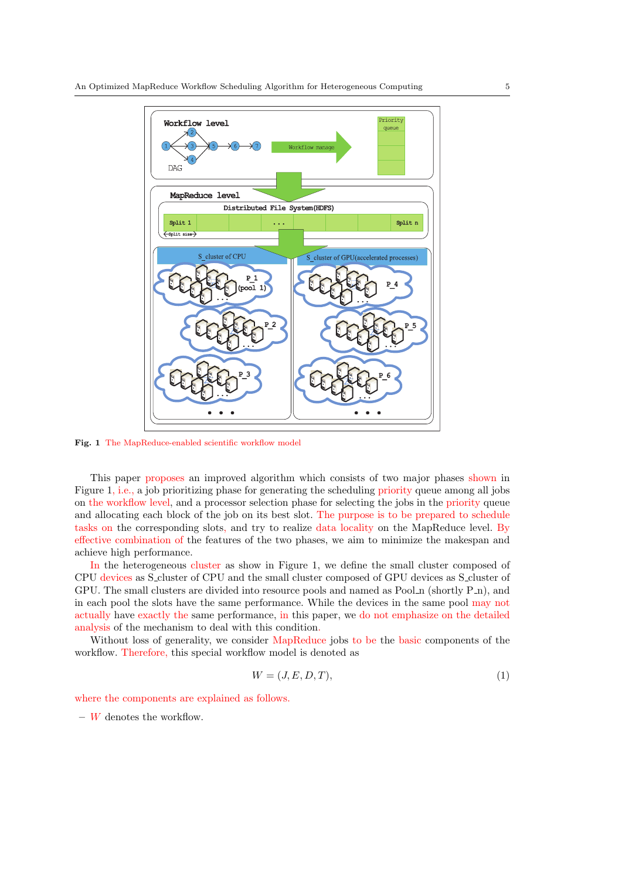

Fig. 1 The MapReduce-enabled scientific workflow model

This paper proposes an improved algorithm which consists of two major phases shown in Figure 1, i.e., a job prioritizing phase for generating the scheduling priority queue among all jobs on the workflow level, and a processor selection phase for selecting the jobs in the priority queue and allocating each block of the job on its best slot. The purpose is to be prepared to schedule tasks on the corresponding slots, and try to realize data locality on the MapReduce level. By effective combination of the features of the two phases, we aim to minimize the makespan and achieve high performance.

In the heterogeneous cluster as show in Figure 1, we define the small cluster composed of CPU devices as S cluster of CPU and the small cluster composed of GPU devices as S cluster of GPU. The small clusters are divided into resource pools and named as Pool  $\Lambda$  (shortly P $\Lambda$ ), and in each pool the slots have the same performance. While the devices in the same pool may not actually have exactly the same performance, in this paper, we do not emphasize on the detailed analysis of the mechanism to deal with this condition.

Without loss of generality, we consider MapReduce jobs to be the basic components of the workflow. Therefore, this special workflow model is denoted as

$$
W = (J, E, D, T),\tag{1}
$$

where the components are explained as follows.

 $-$  W denotes the workflow.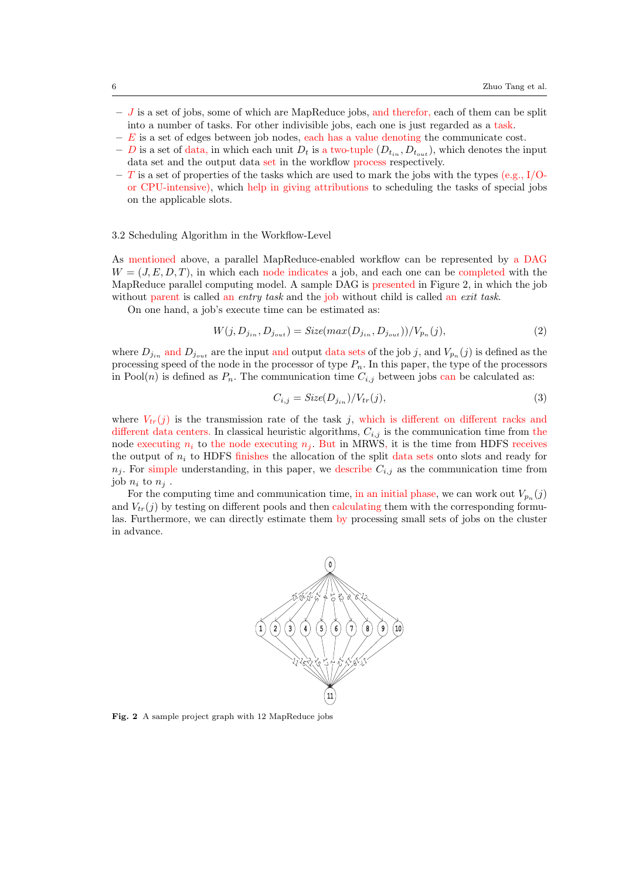- $-$  J is a set of jobs, some of which are MapReduce jobs, and therefor, each of them can be split into a number of tasks. For other indivisible jobs, each one is just regarded as a task.
- $-E$  is a set of edges between job nodes, each has a value denoting the communicate cost.
- D is a set of data, in which each unit  $D_t$  is a two-tuple  $(D_{t_{in}}, D_{t_{out}})$ , which denotes the input data set and the output data set in the workflow process respectively.
- T is a set of properties of the tasks which are used to mark the jobs with the types (e.g., I/Oor CPU-intensive), which help in giving attributions to scheduling the tasks of special jobs on the applicable slots.

## 3.2 Scheduling Algorithm in the Workflow-Level

As mentioned above, a parallel MapReduce-enabled workflow can be represented by a DAG  $W = (J, E, D, T)$ , in which each node indicates a job, and each one can be completed with the MapReduce parallel computing model. A sample DAG is presented in Figure 2, in which the job without parent is called an entry task and the job without child is called an exit task.

On one hand, a job's execute time can be estimated as:

$$
W(j, D_{j_{in}}, D_{j_{out}}) = Size(max(D_{j_{in}}, D_{j_{out}}))/V_{p_n}(j),
$$
\n(2)

where  $D_{j_{in}}$  and  $D_{j_{out}}$  are the input and output data sets of the job j, and  $V_{p_n}(j)$  is defined as the processing speed of the node in the processor of type  $P_n$ . In this paper, the type of the processors in Pool(n) is defined as  $P_n$ . The communication time  $C_{i,j}$  between jobs can be calculated as:

$$
C_{i,j} = \text{Size}(D_{j_{in}}) / V_{tr}(j),\tag{3}
$$

where  $V_{tr}(j)$  is the transmission rate of the task j, which is different on different racks and different data centers. In classical heuristic algorithms,  $C_{i,j}$  is the communication time from the node executing  $n_i$  to the node executing  $n_j$ . But in MRWS, it is the time from HDFS receives the output of  $n_i$  to HDFS finishes the allocation of the split data sets onto slots and ready for  $n_j$ . For simple understanding, in this paper, we describe  $C_{i,j}$  as the communication time from job  $n_i$  to  $n_j$ .

For the computing time and communication time, in an initial phase, we can work out  $V_{p_n}(j)$ and  $V_{tr}(i)$  by testing on different pools and then calculating them with the corresponding formulas. Furthermore, we can directly estimate them by processing small sets of jobs on the cluster in advance.



Fig. 2 A sample project graph with 12 MapReduce jobs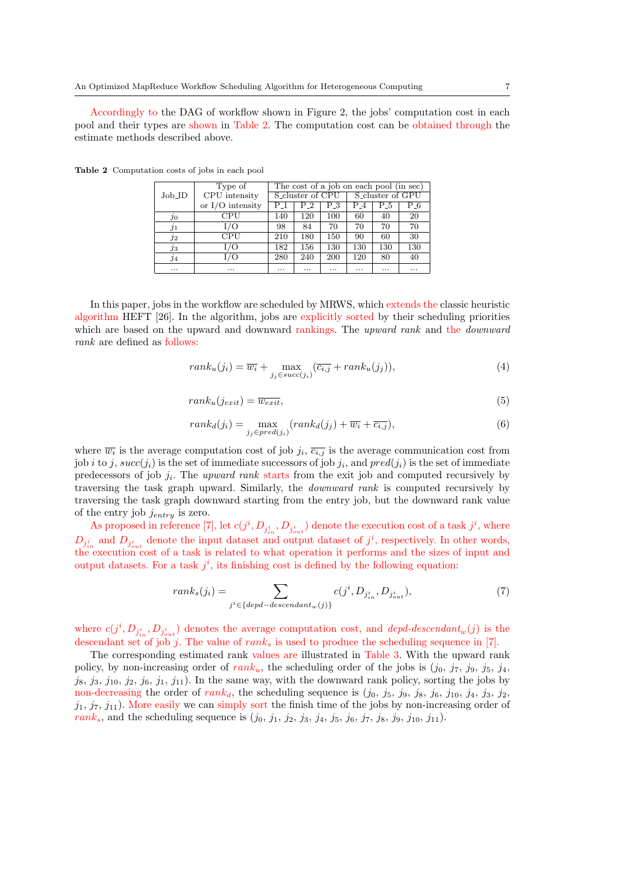Accordingly to the DAG of workflow shown in Figure 2, the jobs' computation cost in each pool and their types are shown in Table 2. The computation cost can be obtained through the estimate methods described above.

|                 | Type of            | The cost of a job on each pool (in sec) |                              |          |                              |          |          |  |  |  |  |  |
|-----------------|--------------------|-----------------------------------------|------------------------------|----------|------------------------------|----------|----------|--|--|--|--|--|
| $Job$ -ID       | CPU intensity      |                                         | S <sub>-cluster</sub> of CPU |          | S <sub>-cluster</sub> of GPU |          |          |  |  |  |  |  |
|                 | or $I/O$ intensity | P_1                                     | P_2                          | Р.3      | P_4                          | Р.5      | P_6      |  |  |  |  |  |
| <i>30</i>       | CPU                | 140                                     | 120                          | 100      | 60                           | 40       | 20       |  |  |  |  |  |
| $\jmath_1$      | I/O                | 98                                      | 84                           | 70       | 70                           | 70       | 70       |  |  |  |  |  |
| $\overline{12}$ | CPU                | 210                                     | 180                          | 150      | 90                           | 60       | 30       |  |  |  |  |  |
| $j_3$           | ./O                | 182                                     | 156                          | 130      | 130                          | 130      | 130      |  |  |  |  |  |
| $\overline{14}$ | $\sqrt{O}$         | 280                                     | 240                          | 200      | 120                          | 80       | 40       |  |  |  |  |  |
| $\cdots$        | $\cdots$           |                                         | $\cdots$                     | $\cdots$ | $\cdots$                     | $\cdots$ | $\cdots$ |  |  |  |  |  |

Table 2 Computation costs of jobs in each pool

In this paper, jobs in the workflow are scheduled by MRWS, which extends the classic heuristic algorithm HEFT [26]. In the algorithm, jobs are explicitly sorted by their scheduling priorities which are based on the upward and downward rankings. The upward rank and the *downward* rank are defined as follows:

$$
rank_u(j_i) = \overline{w_i} + \max_{j_j \in succ(j_i)} (\overline{c_{i,j}} + rank_u(j_j)),
$$
\n(4)

$$
rank_u(j_{exit}) = \overline{w_{exit}},\tag{5}
$$

$$
rank_d(j_i) = \max_{j_j \in pred(j_i)}(rank_d(j_j) + \overline{w_i} + \overline{c_{i,j}}),
$$
\n(6)

where  $\overline{w_i}$  is the average computation cost of job  $j_i$ ,  $\overline{c_{i,j}}$  is the average communication cost from job *i* to *j*,  $succ(j_i)$  is the set of immediate successors of job  $j_i$ , and  $pred(j_i)$  is the set of immediate predecessors of job  $j_i$ . The upward rank starts from the exit job and computed recursively by traversing the task graph upward. Similarly, the downward rank is computed recursively by traversing the task graph downward starting from the entry job, but the downward rank value of the entry job  $j_{entry}$  is zero.

As proposed in reference [7], let  $c(j^i, D_{j^i_{in}}, D_{j^i_{out}})$  denote the execution cost of a task  $j^i$ , where  $D_{j_{in}^{i}}$  and  $D_{j_{out}^{i}}$  denote the input dataset and output dataset of  $j^{i}$ , respectively. In other words, the execution cost of a task is related to what operation it performs and the sizes of input and output datasets. For a task  $j^i$ , its finishing cost is defined by the following equation:

$$
rank_s(j_i) = \sum_{j^i \in \{depd - descendant_w(j)\}} c(j^i, D_{j^i_{in}}, D_{j^i_{out}}),
$$
\n<sup>(7)</sup>

where  $c(j^i, D_{j^i_{out}}, D_{j^i_{out}})$  denotes the average computation cost, and *depd-descendant*<sub>w</sub>(*j*) is the descendant set of job j. The value of  $rank_s$  is used to produce the scheduling sequence in [7].

The corresponding estimated rank values are illustrated in Table 3. With the upward rank policy, by non-increasing order of  $rank_u$ , the scheduling order of the jobs is  $(j_0, j_7, j_9, j_5, j_4, j_6)$  $j_8, j_3, j_{10}, j_2, j_6, j_1, j_{11}$ . In the same way, with the downward rank policy, sorting the jobs by non-decreasing the order of  $rank_d$ , the scheduling sequence is  $(j_0, j_5, j_9, j_8, j_6, j_{10}, j_4, j_3, j_2,$  $j_1, j_7, j_{11}$ ). More easily we can simply sort the finish time of the jobs by non-increasing order of rank<sub>s</sub>, and the scheduling sequence is  $(j_0, j_1, j_2, j_3, j_4, j_5, j_6, j_7, j_8, j_9, j_{10}, j_{11}).$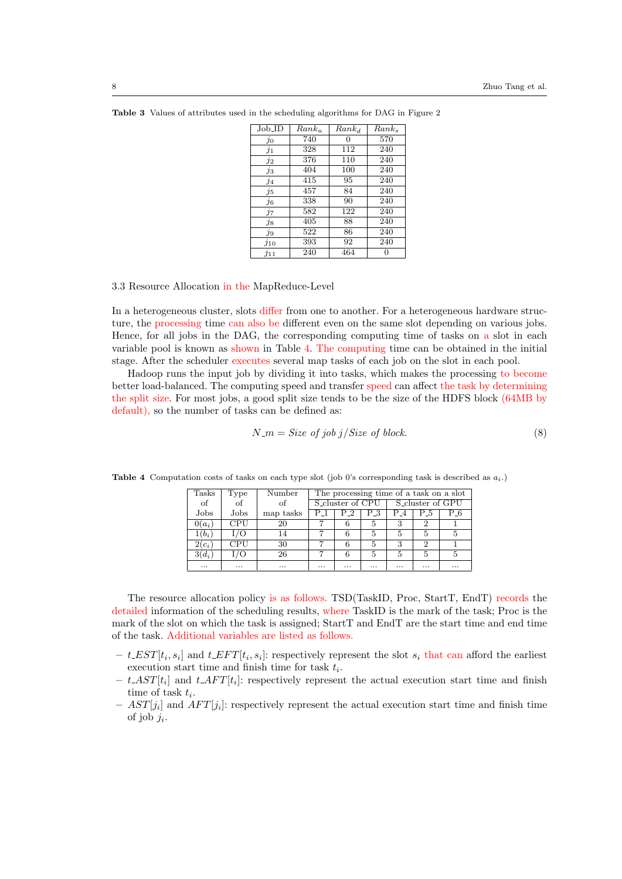| $Job\_ID$      | $Rank_u$ | $Rank_d$ | $Rank_s$ |
|----------------|----------|----------|----------|
| $\dot{j}_0$    | 740      | 0        | 570      |
| $\jmath_1$     | 328      | 112      | 240      |
| $\jmath_2$     | 376      | 110      | 240      |
| $j_3$          | 404      | 100      | 240      |
| $\mathcal{I}4$ | 415      | 95       | 240      |
| $\jmath_5$     | 457      | 84       | 240      |
| $j_6$          | 338      | 90       | 240      |
| İ7             | 582      | 122      | 240      |
| $j_{8}$        | 405      | 88       | 240      |
| $j_9$          | 522      | 86       | 240      |
| J10            | 393      | 92       | 240      |
| $j_{11}$       | 240      | 464      |          |

Table 3 Values of attributes used in the scheduling algorithms for DAG in Figure 2

## 3.3 Resource Allocation in the MapReduce-Level

In a heterogeneous cluster, slots differ from one to another. For a heterogeneous hardware structure, the processing time can also be different even on the same slot depending on various jobs. Hence, for all jobs in the DAG, the corresponding computing time of tasks on a slot in each variable pool is known as shown in Table 4. The computing time can be obtained in the initial stage. After the scheduler executes several map tasks of each job on the slot in each pool.

Hadoop runs the input job by dividing it into tasks, which makes the processing to become better load-balanced. The computing speed and transfer speed can affect the task by determining the split size. For most jobs, a good split size tends to be the size of the HDFS block (64MB by default), so the number of tasks can be defined as:

$$
N_{-} = Size\ of\ job\ j / Size\ of\ block. \tag{8}
$$

| Tasks    | Type       | Number    | The processing time of a task on a slot |                             |          |                              |     |          |  |  |  |  |  |
|----------|------------|-----------|-----------------------------------------|-----------------------------|----------|------------------------------|-----|----------|--|--|--|--|--|
| of       | $\alpha$ f | of        |                                         | S <sub>cluster</sub> of CPU |          | S <sub>-cluster</sub> of GPU |     |          |  |  |  |  |  |
| Jobs     | Jobs       | map tasks | $P_{-1}$                                | P 2                         | $P_{-}3$ | $P_4$                        | P_5 | $P_{-6}$ |  |  |  |  |  |
| $0(a_i)$ | <b>CPU</b> | 20        |                                         |                             |          | 3                            |     |          |  |  |  |  |  |
| $1(b_i)$ | I/O        | 14        |                                         |                             |          |                              |     |          |  |  |  |  |  |
| $2(c_i)$ | CPU        | 30        |                                         |                             |          | 3                            | 9   |          |  |  |  |  |  |
| $3(d_i)$ | $\cdot$ /O | 26        |                                         | 6                           | 5        | 5                            | 5   | 5        |  |  |  |  |  |
| $\cdots$ |            | $\cdots$  | $\cdots$                                |                             | $\cdots$ | $\cdots$                     |     | $\cdots$ |  |  |  |  |  |

**Table 4** Computation costs of tasks on each type slot (job 0's corresponding task is described as  $a_i$ .)

The resource allocation policy is as follows. TSD(TaskID, Proc, StartT, EndT) records the detailed information of the scheduling results, where TaskID is the mark of the task; Proc is the mark of the slot on which the task is assigned; StartT and EndT are the start time and end time of the task. Additional variables are listed as follows.

- $t \text{ } EST[t_i, s_i]$  and  $t \text{ } EFT[t_i, s_i]$ : respectively represent the slot  $s_i$  that can afford the earliest execution start time and finish time for task  $t_i$ .
- $t \, AST[t_i]$  and  $t \, AFT[t_i]$ : respectively represent the actual execution start time and finish time of task  $t_i$ .
- $-$  AST[j<sub>i</sub>] and AFT[j<sub>i</sub>]: respectively represent the actual execution start time and finish time of job  $j_i$ .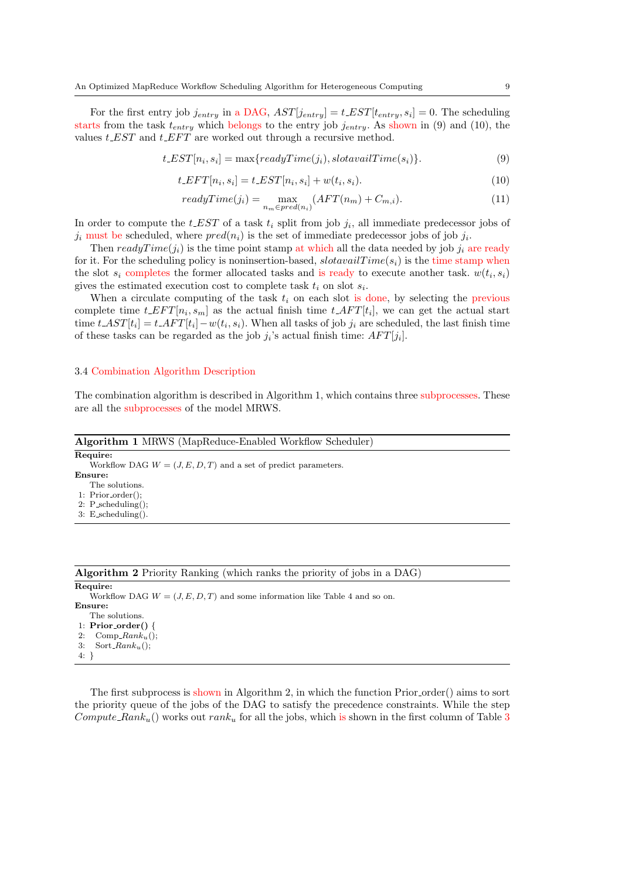For the first entry job  $j_{entry}$  in a DAG,  $AST[j_{entry}] = t \_EST[t_{entry}, s_i] = 0$ . The scheduling starts from the task  $t_{entry}$  which belongs to the entry job  $j_{entry}$ . As shown in (9) and (10), the values  $t$  EST and  $t$  EFT are worked out through a recursive method.

$$
t \_EST[n_i, s_i] = \max\{readyTime(j_i), slotavailTime(s_i)\}.
$$
\n(9)

$$
t \cdot EFT[n_i, s_i] = t \cdot EST[n_i, s_i] + w(t_i, s_i). \tag{10}
$$

$$
readyTime(j_i) = \max_{n_m \in pred(n_i)} (AFT(n_m) + C_{m,i}).
$$
\n(11)

In order to compute the  $t \text{L} EST$  of a task  $t_i$  split from job  $j_i$ , all immediate predecessor jobs of  $j_i$  must be scheduled, where  $pred(n_i)$  is the set of immediate predecessor jobs of job  $j_i$ .

Then  $readyTime(j_i)$  is the time point stamp at which all the data needed by job  $j_i$  are ready for it. For the scheduling policy is noninsertion-based,  $slotavailTime(s_i)$  is the time stamp when the slot  $s_i$  completes the former allocated tasks and is ready to execute another task.  $w(t_i, s_i)$ gives the estimated execution cost to complete task  $t_i$  on slot  $s_i$ .

When a circulate computing of the task  $t_i$  on each slot is done, by selecting the previous complete time  $t\_EFT[n_i, s_m]$  as the actual finish time  $t\_AFT[t_i]$ , we can get the actual start time  $t \, AST[t_i] = t \, AFT[t_i] - w(t_i, s_i)$ . When all tasks of job  $j_i$  are scheduled, the last finish time of these tasks can be regarded as the job  $j_i$ 's actual finish time:  $AFT[j_i]$ .

## 3.4 Combination Algorithm Description

The combination algorithm is described in Algorithm 1, which contains three subprocesses. These are all the subprocesses of the model MRWS.

| Algorithm 1 MRWS (MapReduce-Enabled Workflow Scheduler)          |
|------------------------------------------------------------------|
| Require:                                                         |
| Workflow DAG $W = (J, E, D, T)$ and a set of predict parameters. |
| Ensure:                                                          |
| The solutions.                                                   |
| $1: Prior-order();$                                              |
| 2: $P$ _scheduling();                                            |
| $3:$ E_scheduling().                                             |
|                                                                  |

The first subprocess is shown in Algorithm 2, in which the function Prior order() aims to sort the priority queue of the jobs of the DAG to satisfy the precedence constraints. While the step Compute Rank<sub>u</sub>() works out rank<sub>u</sub> for all the jobs, which is shown in the first column of Table 3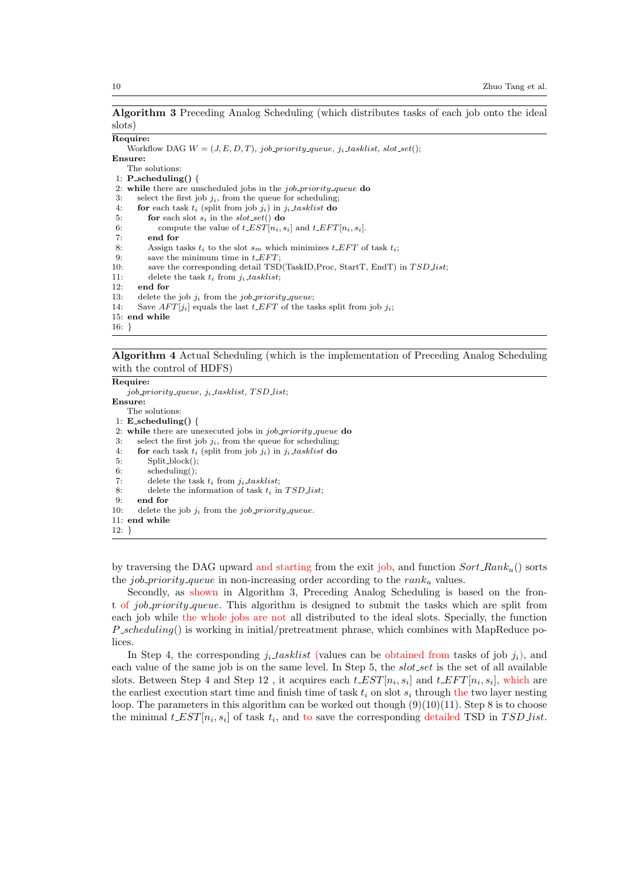Algorithm 3 Preceding Analog Scheduling (which distributes tasks of each job onto the ideal slots)

# Require:

```
Workflow DAG W = (J, E, D, T), job priority queue, j<sub>i</sub> tasklist, slot_set();
Ensure:
    The solutions:
 1: P_scheduling() {
2: while there are unscheduled jobs in the job priority queue do
3: select the first job j_i, from the queue for scheduling;<br>4: for each task t_i (split from job j_i) in i_t tasklist do
       for each task t_i (split from job j_i) in j_i-tasklist do
5: for each slot s_i in the slot_set() do
6: compute the value of t<sub>-</sub>EST[n_i, s_i] and t<sub>-</sub>EFT[n_i, s_i].<br>7: end for
          end for
8: Assign tasks t_i to the slot s_m which minimizes t\_EFT of task t_i;<br>9: save the minimum time in t\_EFT;
          save the minimum time in t<sub>-EFT</sub>;
10: save the corresponding detail TSD(TaskID, Proc, StartT, EndT) in TSD list;
11: delete the task t_i from j_i tasklist;<br>12: end for
       end for
13: delete the job j_i from the job-priority-queue;
14: Save AFT[j_i] equals the last t\_EFT of the tasks split from job j_i;
15: end while
```
## Algorithm 4 Actual Scheduling (which is the implementation of Preceding Analog Scheduling with the control of HDFS)

|          | Require:                                                           |
|----------|--------------------------------------------------------------------|
|          | $job\_priority\_queue, j_i\_tasklist, TSD\_list;$                  |
|          | Ensure:                                                            |
|          | The solutions:                                                     |
|          | 1: E_scheduling() {                                                |
|          | 2. while there are unexecuted jobs in <i>job_priority_queue</i> do |
| 3:       | select the first job $j_i$ , from the queue for scheduling;        |
| 4:       | for each task $t_i$ (split from job $j_i$ ) in $j_i$ -tasklist do  |
| 5.       | $Split-block()$                                                    |
| 6:       | $scheduling()$ ;                                                   |
| 7:       | delete the task $t_i$ from $j_i$ -tasklist;                        |
| 8:       | delete the information of task $t_i$ in $TSD\_list$ ;              |
| 9:       | end for                                                            |
| 10:      | delete the job $j_i$ from the job priority queue.                  |
|          | $11:$ end while                                                    |
| $12: \}$ |                                                                    |

by traversing the DAG upward and starting from the exit job, and function  $Sort\_Rank_u$ ) sorts the job priority queue in non-increasing order according to the  $rank_u$  values.

Secondly, as shown in Algorithm 3, Preceding Analog Scheduling is based on the front of job priority queue. This algorithm is designed to submit the tasks which are split from each job while the whole jobs are not all distributed to the ideal slots. Specially, the function  $P$ -scheduling() is working in initial/pretreatment phrase, which combines with MapReduce polices.

In Step 4, the corresponding  $j_i$  tasklist (values can be obtained from tasks of job  $j_i$ ), and each value of the same job is on the same level. In Step 5, the *slot set* is the set of all available slots. Between Step 4 and Step 12, it acquires each  $t \text{ } LEST[n_i, s_i]$  and  $t \text{ } LFFT[n_i, s_i]$ , which are the earliest execution start time and finish time of task  $t_i$  on slot  $s_i$  through the two layer nesting loop. The parameters in this algorithm can be worked out though  $(9)(10)(11)$ . Step 8 is to choose the minimal  $t \text{L} \text{S} \text{T}[n_i, s_i]$  of task  $t_i$ , and to save the corresponding detailed TSD in TSD list.

<sup>16:</sup> }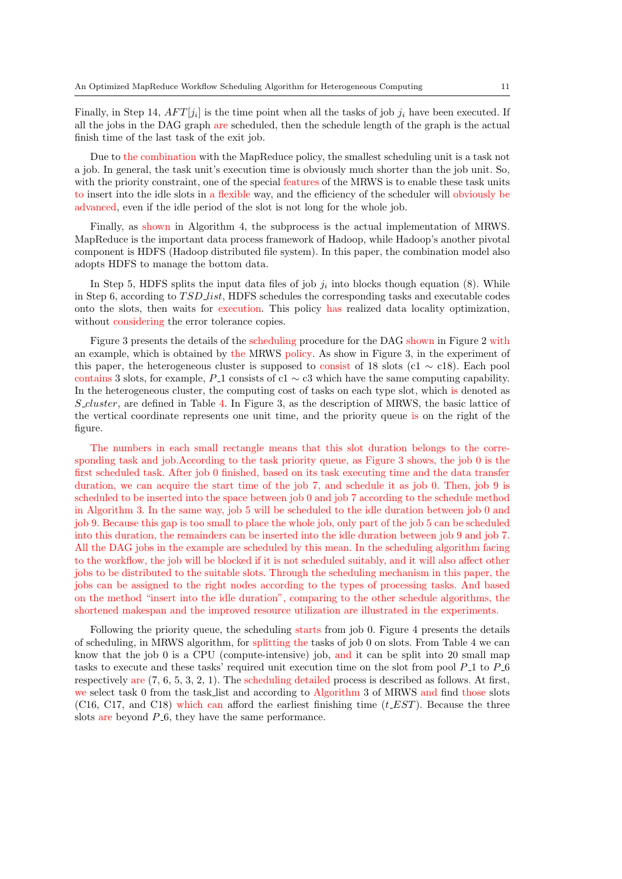Finally, in Step 14,  $AFT[j_i]$  is the time point when all the tasks of job  $j_i$  have been executed. If all the jobs in the DAG graph are scheduled, then the schedule length of the graph is the actual finish time of the last task of the exit job.

Due to the combination with the MapReduce policy, the smallest scheduling unit is a task not a job. In general, the task unit's execution time is obviously much shorter than the job unit. So, with the priority constraint, one of the special features of the MRWS is to enable these task units to insert into the idle slots in a flexible way, and the efficiency of the scheduler will obviously be advanced, even if the idle period of the slot is not long for the whole job.

Finally, as shown in Algorithm 4, the subprocess is the actual implementation of MRWS. MapReduce is the important data process framework of Hadoop, while Hadoop's another pivotal component is HDFS (Hadoop distributed file system). In this paper, the combination model also adopts HDFS to manage the bottom data.

In Step 5, HDFS splits the input data files of job  $j_i$  into blocks though equation (8). While in Step 6, according to  $TSD\_list$ , HDFS schedules the corresponding tasks and executable codes onto the slots, then waits for execution. This policy has realized data locality optimization, without considering the error tolerance copies.

Figure 3 presents the details of the scheduling procedure for the DAG shown in Figure 2 with an example, which is obtained by the MRWS policy. As show in Figure 3, in the experiment of this paper, the heterogeneous cluster is supposed to consist of 18 slots (c1  $\sim$  c18). Each pool contains 3 slots, for example,  $P_1$  consists of c1  $\sim$  c3 which have the same computing capability. In the heterogeneous cluster, the computing cost of tasks on each type slot, which is denoted as  $S_{\text{cluster}}$ , are defined in Table 4. In Figure 3, as the description of MRWS, the basic lattice of the vertical coordinate represents one unit time, and the priority queue is on the right of the figure.

The numbers in each small rectangle means that this slot duration belongs to the corresponding task and job.According to the task priority queue, as Figure 3 shows, the job 0 is the first scheduled task. After job 0 finished, based on its task executing time and the data transfer duration, we can acquire the start time of the job 7, and schedule it as job 0. Then, job 9 is scheduled to be inserted into the space between job 0 and job 7 according to the schedule method in Algorithm 3. In the same way, job 5 will be scheduled to the idle duration between job 0 and job 9. Because this gap is too small to place the whole job, only part of the job 5 can be scheduled into this duration, the remainders can be inserted into the idle duration between job 9 and job 7. All the DAG jobs in the example are scheduled by this mean. In the scheduling algorithm facing to the workflow, the job will be blocked if it is not scheduled suitably, and it will also affect other jobs to be distributed to the suitable slots. Through the scheduling mechanism in this paper, the jobs can be assigned to the right nodes according to the types of processing tasks. And based on the method "insert into the idle duration", comparing to the other schedule algorithms, the shortened makespan and the improved resource utilization are illustrated in the experiments.

Following the priority queue, the scheduling starts from job 0. Figure 4 presents the details of scheduling, in MRWS algorithm, for splitting the tasks of job 0 on slots. From Table 4 we can know that the job 0 is a CPU (compute-intensive) job, and it can be split into 20 small map tasks to execute and these tasks' required unit execution time on the slot from pool  $P_1$  to  $P_2$ respectively are (7, 6, 5, 3, 2, 1). The scheduling detailed process is described as follows. At first, we select task 0 from the task list and according to Algorithm 3 of MRWS and find those slots (C16, C17, and C18) which can afford the earliest finishing time  $(t \text{ }EST)$ . Because the three slots are beyond  $P_6$ , they have the same performance.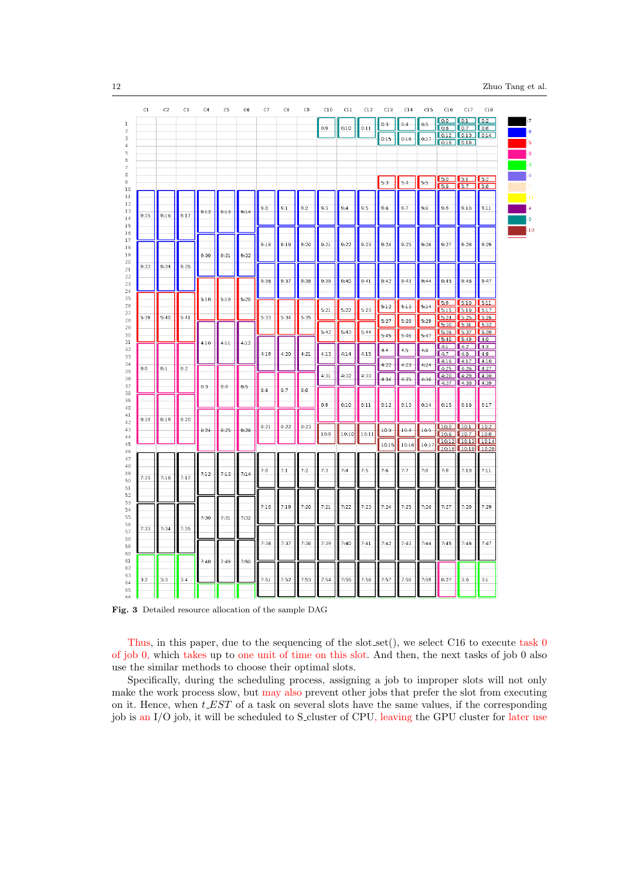| C1   | C2   | C3   | C4       | C <sub>5</sub> | C6   | C7   | C8   | C9   | C10  | C11   | C12   | C13     | C14    | C15   | C16         | C17                                           | C18         |
|------|------|------|----------|----------------|------|------|------|------|------|-------|-------|---------|--------|-------|-------------|-----------------------------------------------|-------------|
|      |      |      |          |                |      |      |      |      | 0:9  | 0:10  | 0:11  | $0:3-$  | 0:4    | 0:5   | 0.6         | $0:0$ $0:1$ $0:2$<br>$\sqrt{0.7}$             | $\Box$ 0:8  |
|      |      |      |          |                |      |      |      |      |      |       |       | 0:15    | 0:16   | 0:17  |             | $0.12$ $0.13$ $0.14$<br>$0.18$ $0.19$         |             |
|      |      |      |          |                |      |      |      |      |      |       |       |         |        |       |             |                                               |             |
|      |      |      |          |                |      |      |      |      |      |       |       |         |        |       |             |                                               |             |
|      |      |      |          |                |      |      |      |      |      |       |       | $-5:3-$ | $-5:4$ | 5:5   | 5:0         | 5:1                                           | 5:2         |
|      |      |      |          |                |      |      |      |      |      |       |       |         |        |       | 5:6         | $5.7$ 5.8                                     |             |
|      |      |      |          |                |      | 9:0  | 9:1  | 9:2  | 9:3  | 9:4   | 9:5   | 9:6     | 9:7    | 9:8   | 9:9         | 9:10                                          | 9:11        |
| 9:15 | 9:16 | 9:17 | 9:12     | 9:13           | 9:14 |      |      |      |      |       |       |         |        |       |             |                                               |             |
|      |      |      |          |                |      |      |      |      |      |       |       |         |        |       |             |                                               |             |
|      |      |      |          |                |      | 9:18 | 9:19 | 9:20 | 9:21 | 9:22  | 9:23  | 9:24    | 9:25   | 9:26  | 9:27        | 9:28                                          | 9:29        |
|      |      |      | $9:30-$  | 9:31           | 9:32 |      |      |      |      |       |       |         |        |       |             |                                               |             |
| 9:33 | 9:34 | 9:35 |          |                |      |      |      |      |      |       |       |         |        |       |             |                                               |             |
|      |      |      |          |                |      | 9.36 | 9:37 | 9:38 | 9:39 | 9:40  | 9:41  | 9:42    | 9:43   | 9:44  | 9:45        | 9:46                                          | 9:47        |
|      |      |      |          |                |      |      |      |      |      |       |       |         |        |       |             |                                               |             |
|      |      |      | 5:16     | 5:19           | 5:20 |      |      |      | 5:21 | 5:22  | 5:23  | 5:12    | 5:13   | 5:14  | 5:9         | 5:10<br>5.15 5.16 5.17                        | 5:11        |
| 5:39 | 5:40 | 5:41 |          |                |      | 5:33 | 5:34 | 5:35 |      |       |       | 5:27    | 5:28   | 5:29  | 5:24        | 5:25                                          | 5.26        |
|      |      |      |          |                |      |      |      |      | 5:42 | 5:43  | 5:44  | 5:45    | 5:46   | 5:47  | 5:30        | 5:31<br>5:36 5:37 5:38                        | 5:32        |
|      |      |      | $4:10 -$ | 4:11           | 4:12 |      |      |      |      |       |       |         |        |       | 5:48<br>4:1 | $5.49$ $4.0$<br>4:2                           | 4:3         |
|      |      |      |          |                |      | 4:19 | 4:20 | 4:21 | 4:13 | 4:14  | 4:15  | $4.4 -$ | 4:5    | 4:6   | 4:7         | 4:8<br>4:16 4:17                              | 4:9<br>4:18 |
| 8:0  | 8:1  | 8:2  |          |                |      |      |      |      |      |       |       | 4:22    | 4:23   | 4:24  |             | $4.25$ $4.26$ $4.27$                          |             |
|      |      |      | 8:3      | $-8:4$         | 8:5  |      |      |      | 4:31 | 4:32  | 4:33  | 4:34    | 4:35   | 4:36  |             | 4.28 4.29 4.30<br>4:37 4:38 4:39              |             |
|      |      |      |          |                |      | 8:6  | 8:7  | 8:8  |      |       |       |         |        |       |             |                                               |             |
|      |      |      |          |                |      |      |      |      | 8:9  | 8:10  | 8:11  | 8:12    | 8:13   | 8:14  | 8:15        | 8:16                                          | 8:17        |
| 8:18 | 8:19 | 8:20 |          |                |      |      |      |      |      |       |       |         |        |       |             |                                               |             |
|      |      |      | 8:24     | 8:25           | 0:26 | 8:21 | 8:22 | 8:23 | 10:9 | 10:10 | 10:11 | 10:3    | 10:4   | 10:5  |             | 10:0 10:1 10:2<br>10:6 10:7 10:8              |             |
|      |      |      |          |                |      |      |      |      |      |       |       | 10:15   | 10:16  | 10:17 |             | 10:12 10:13 10:14<br><b>10:18 10:19 10:20</b> |             |
|      |      |      |          |                |      |      |      |      |      |       |       |         |        |       |             |                                               |             |
|      |      |      | 7:12     | 7:13           | 7:14 | 7:0  | 7:1  | 7:2  | 7:3  | 7:4   | 7:5   | 7:6     | 7:7    | 7:8   | 7:9         | 7:10                                          | 7:11        |
| 7:15 | 7:16 | 7:17 |          |                |      |      |      |      |      |       |       |         |        |       |             |                                               |             |
|      |      |      |          |                |      |      |      |      |      |       |       |         |        |       |             |                                               |             |
|      |      |      |          |                |      | 7:18 | 7:19 | 7:20 | 7:21 | 7:22  | 7:23  | 7:24    | 7:25   | 7:26  | 7:27        | 7:28                                          | 7:29        |
|      |      |      | 7:30     | 7:31           | 7:32 |      |      |      |      |       |       |         |        |       |             |                                               |             |
| 7:33 | 7:34 | 7:35 |          |                |      |      |      |      |      |       |       |         |        |       |             |                                               |             |
|      |      |      |          |                |      | 7:36 | 7:37 | 7:38 | 7:39 | 7:40  | 7:41  | 7:42    | 7:43   | 7:44  | 7:45        | 7:46                                          | 7:47        |
|      |      |      | 7:48     | 7:49           | 7:50 |      |      |      |      |       |       |         |        |       |             |                                               |             |
|      |      |      |          |                |      |      |      |      |      |       |       |         |        |       |             |                                               |             |
| 3:2  | 3:3  | 3:4  |          |                |      | 7:51 | 7:52 | 7:53 | 7:54 | 7:55  | 7:56  | 7:57    | 7:58   | 7:59  | 8:27        | 3:0                                           | 3:1         |
|      |      |      |          |                |      |      |      |      |      |       |       |         |        |       |             |                                               |             |

Fig. 3 Detailed resource allocation of the sample DAG

Thus, in this paper, due to the sequencing of the slot set(), we select  $C16$  to execute task 0 of job 0, which takes up to one unit of time on this slot. And then, the next tasks of job 0 also use the similar methods to choose their optimal slots.

Specifically, during the scheduling process, assigning a job to improper slots will not only make the work process slow, but may also prevent other jobs that prefer the slot from executing on it. Hence, when  $t \text{ } EST$  of a task on several slots have the same values, if the corresponding job is an I/O job, it will be scheduled to S<sub>-cluster</sub> of CPU, leaving the GPU cluster for later use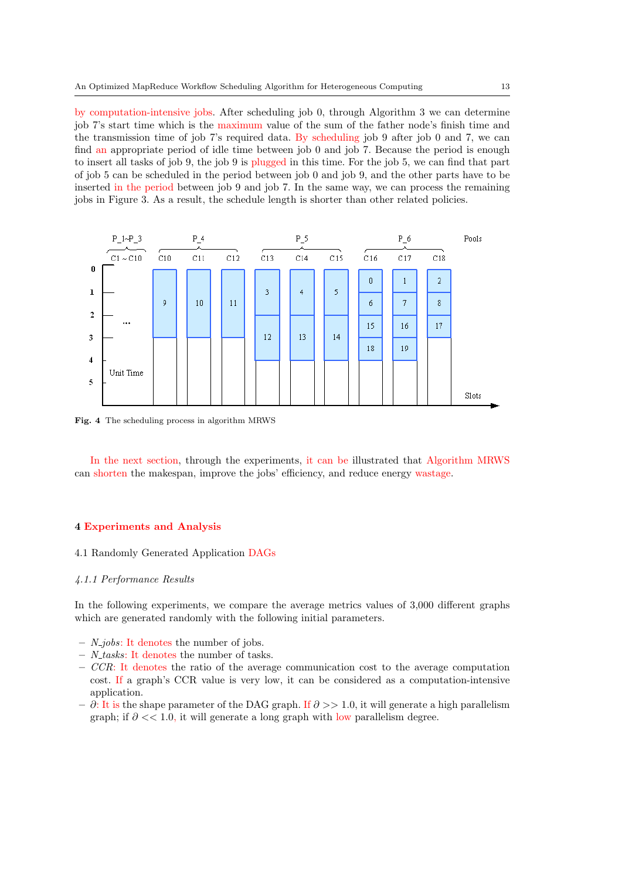by computation-intensive jobs. After scheduling job 0, through Algorithm 3 we can determine job 7's start time which is the maximum value of the sum of the father node's finish time and the transmission time of job 7's required data. By scheduling job 9 after job 0 and 7, we can find an appropriate period of idle time between job 0 and job 7. Because the period is enough to insert all tasks of job 9, the job 9 is plugged in this time. For the job 5, we can find that part of job 5 can be scheduled in the period between job 0 and job 9, and the other parts have to be inserted in the period between job 9 and job 7. In the same way, we can process the remaining jobs in Figure 3. As a result, the schedule length is shorter than other related policies.



Fig. 4 The scheduling process in algorithm MRWS

In the next section, through the experiments, it can be illustrated that Algorithm MRWS can shorten the makespan, improve the jobs' efficiency, and reduce energy wastage.

#### 4 Experiments and Analysis

## 4.1 Randomly Generated Application DAGs

## 4.1.1 Performance Results

In the following experiments, we compare the average metrics values of 3,000 different graphs which are generated randomly with the following initial parameters.

- $N_{1}jobs$ : It denotes the number of jobs.
- $-$  *N\_tasks*: It denotes the number of tasks.
- $-$  CCR: It denotes the ratio of the average communication cost to the average computation cost. If a graph's CCR value is very low, it can be considered as a computation-intensive application.
- $-$  ∂: It is the shape parameter of the DAG graph. If  $∂$  > 1.0, it will generate a high parallelism graph; if  $\partial \ll 1.0$ , it will generate a long graph with low parallelism degree.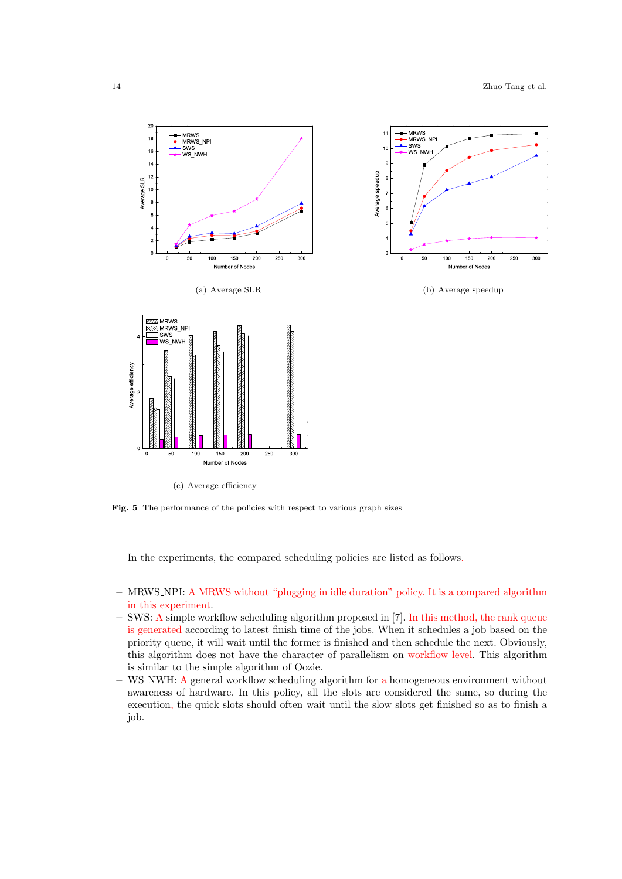

(c) Average efficiency

Fig. 5 The performance of the policies with respect to various graph sizes

In the experiments, the compared scheduling policies are listed as follows.

- MRWS NPI: A MRWS without "plugging in idle duration" policy. It is a compared algorithm in this experiment.
- SWS: A simple workflow scheduling algorithm proposed in [7]. In this method, the rank queue is generated according to latest finish time of the jobs. When it schedules a job based on the priority queue, it will wait until the former is finished and then schedule the next. Obviously, this algorithm does not have the character of parallelism on workflow level. This algorithm is similar to the simple algorithm of Oozie.
- WS NWH: A general workflow scheduling algorithm for a homogeneous environment without awareness of hardware. In this policy, all the slots are considered the same, so during the execution, the quick slots should often wait until the slow slots get finished so as to finish a job.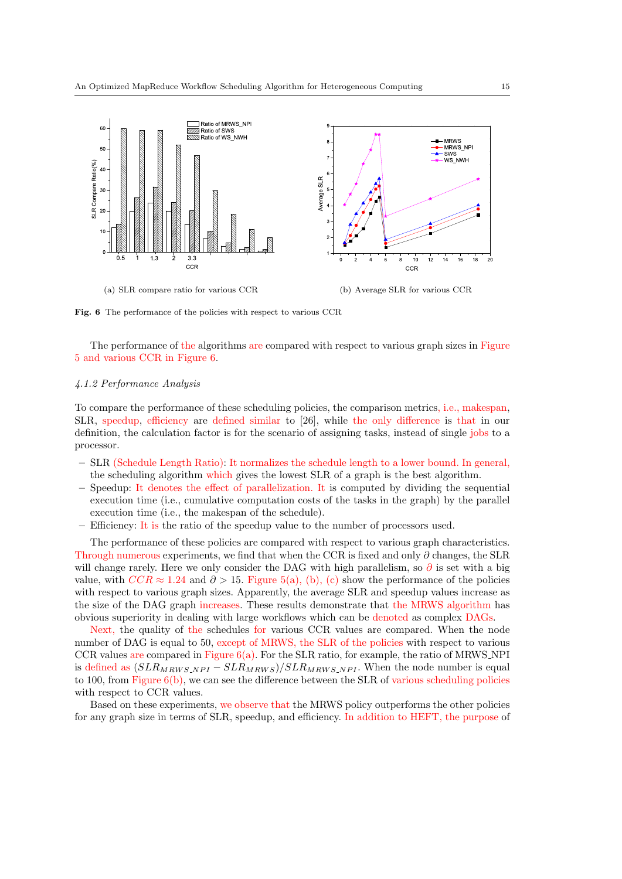

Fig. 6 The performance of the policies with respect to various CCR

The performance of the algorithms are compared with respect to various graph sizes in Figure 5 and various CCR in Figure 6.

## 4.1.2 Performance Analysis

To compare the performance of these scheduling policies, the comparison metrics, i.e., makespan, SLR, speedup, efficiency are defined similar to [26], while the only difference is that in our definition, the calculation factor is for the scenario of assigning tasks, instead of single jobs to a processor.

- SLR (Schedule Length Ratio): It normalizes the schedule length to a lower bound. In general, the scheduling algorithm which gives the lowest SLR of a graph is the best algorithm.
- Speedup: It denotes the effect of parallelization. It is computed by dividing the sequential execution time (i.e., cumulative computation costs of the tasks in the graph) by the parallel execution time (i.e., the makespan of the schedule).
- Efficiency: It is the ratio of the speedup value to the number of processors used.

The performance of these policies are compared with respect to various graph characteristics. Through numerous experiments, we find that when the CCR is fixed and only  $\partial$  changes, the SLR will change rarely. Here we only consider the DAG with high parallelism, so  $\partial$  is set with a big value, with  $CCR \approx 1.24$  and  $\partial > 15$ . Figure 5(a), (b), (c) show the performance of the policies with respect to various graph sizes. Apparently, the average SLR and speedup values increase as the size of the DAG graph increases. These results demonstrate that the MRWS algorithm has obvious superiority in dealing with large workflows which can be denoted as complex DAGs.

Next, the quality of the schedules for various CCR values are compared. When the node number of DAG is equal to 50, except of MRWS, the SLR of the policies with respect to various CCR values are compared in Figure  $6(a)$ . For the SLR ratio, for example, the ratio of MRWS NPI is defined as  $(SLR_{MRWS,NPI} - SLR_{MRWS})/SLR_{MRWS,NPI}$ . When the node number is equal to 100, from Figure  $6(b)$ , we can see the difference between the SLR of various scheduling policies with respect to CCR values.

Based on these experiments, we observe that the MRWS policy outperforms the other policies for any graph size in terms of SLR, speedup, and efficiency. In addition to HEFT, the purpose of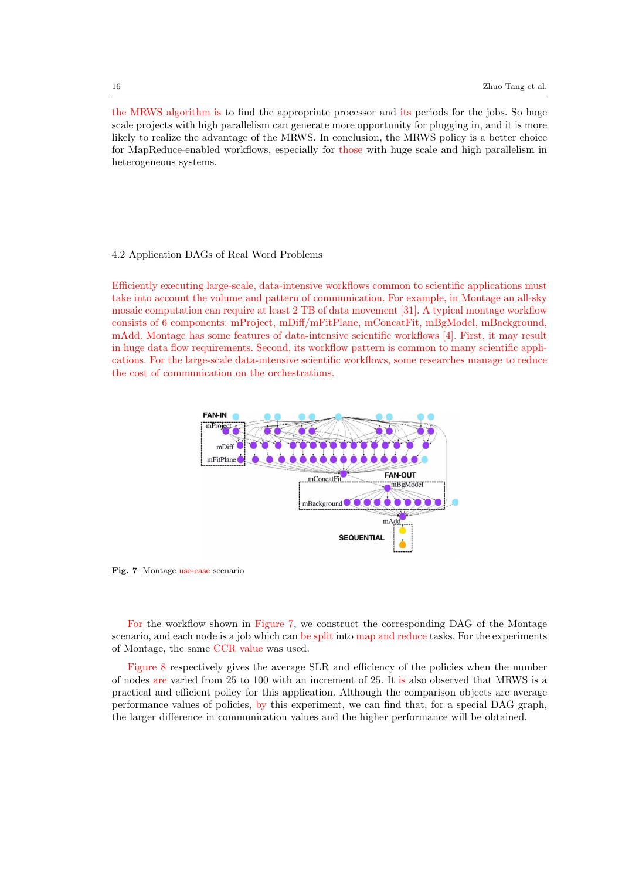the MRWS algorithm is to find the appropriate processor and its periods for the jobs. So huge scale projects with high parallelism can generate more opportunity for plugging in, and it is more likely to realize the advantage of the MRWS. In conclusion, the MRWS policy is a better choice for MapReduce-enabled workflows, especially for those with huge scale and high parallelism in heterogeneous systems.

## 4.2 Application DAGs of Real Word Problems

Efficiently executing large-scale, data-intensive workflows common to scientific applications must take into account the volume and pattern of communication. For example, in Montage an all-sky mosaic computation can require at least 2 TB of data movement [31]. A typical montage workflow consists of 6 components: mProject, mDiff/mFitPlane, mConcatFit, mBgModel, mBackground, mAdd. Montage has some features of data-intensive scientific workflows [4]. First, it may result in huge data flow requirements. Second, its workflow pattern is common to many scientific applications. For the large-scale data-intensive scientific workflows, some researches manage to reduce the cost of communication on the orchestrations.



Fig. 7 Montage use-case scenario

For the workflow shown in Figure 7, we construct the corresponding DAG of the Montage scenario, and each node is a job which can be split into map and reduce tasks. For the experiments of Montage, the same CCR value was used.

Figure 8 respectively gives the average SLR and efficiency of the policies when the number of nodes are varied from 25 to 100 with an increment of 25. It is also observed that MRWS is a practical and efficient policy for this application. Although the comparison objects are average performance values of policies, by this experiment, we can find that, for a special DAG graph, the larger difference in communication values and the higher performance will be obtained.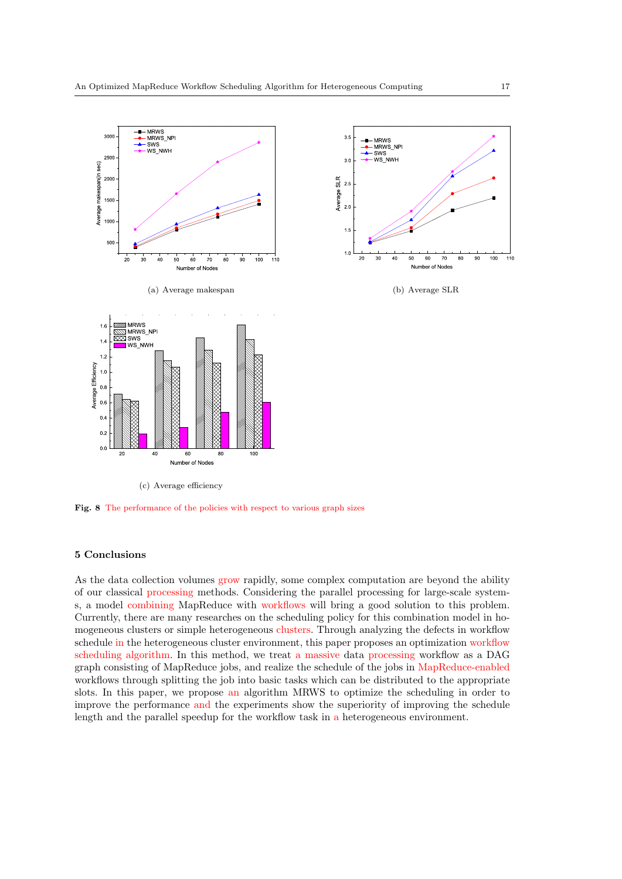

Fig. 8 The performance of the policies with respect to various graph sizes

# 5 Conclusions

As the data collection volumes grow rapidly, some complex computation are beyond the ability of our classical processing methods. Considering the parallel processing for large-scale systems, a model combining MapReduce with workflows will bring a good solution to this problem. Currently, there are many researches on the scheduling policy for this combination model in homogeneous clusters or simple heterogeneous clusters. Through analyzing the defects in workflow schedule in the heterogeneous cluster environment, this paper proposes an optimization workflow scheduling algorithm. In this method, we treat a massive data processing workflow as a DAG graph consisting of MapReduce jobs, and realize the schedule of the jobs in MapReduce-enabled workflows through splitting the job into basic tasks which can be distributed to the appropriate slots. In this paper, we propose an algorithm MRWS to optimize the scheduling in order to improve the performance and the experiments show the superiority of improving the schedule length and the parallel speedup for the workflow task in a heterogeneous environment.

Number of Nodes

(b) Average SLR

WS\_NWH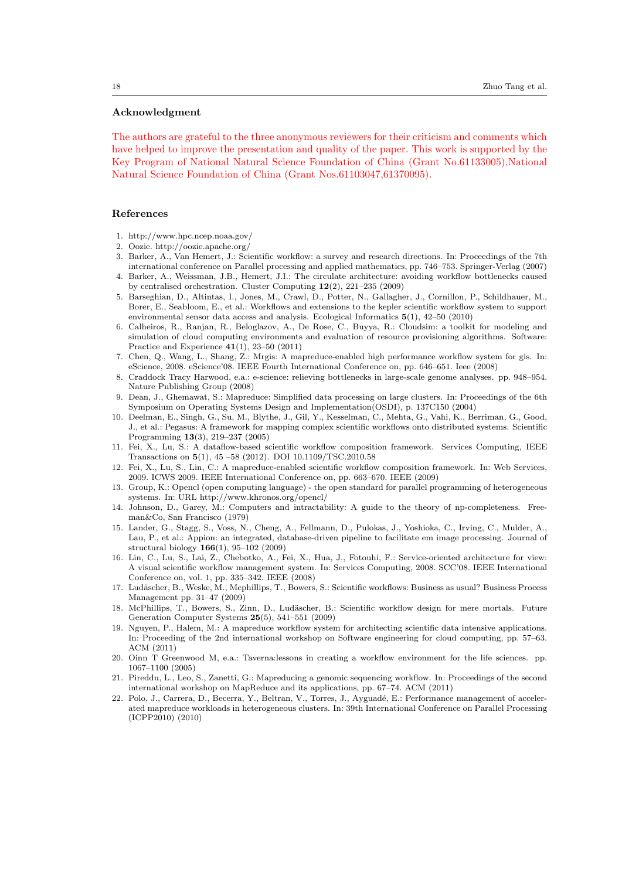#### Acknowledgment

The authors are grateful to the three anonymous reviewers for their criticism and comments which have helped to improve the presentation and quality of the paper. This work is supported by the Key Program of National Natural Science Foundation of China (Grant No.61133005),National Natural Science Foundation of China (Grant Nos.61103047,61370095).

### References

- 1. http://www.hpc.ncep.noaa.gov/
- 2. Oozie. http://oozie.apache.org/
- 3. Barker, A., Van Hemert, J.: Scientific workflow: a survey and research directions. In: Proceedings of the 7th international conference on Parallel processing and applied mathematics, pp. 746–753. Springer-Verlag (2007)
- 4. Barker, A., Weissman, J.B., Hemert, J.I.: The circulate architecture: avoiding workflow bottlenecks caused by centralised orchestration. Cluster Computing 12(2), 221–235 (2009)
- 5. Barseghian, D., Altintas, I., Jones, M., Crawl, D., Potter, N., Gallagher, J., Cornillon, P., Schildhauer, M., Borer, E., Seabloom, E., et al.: Workflows and extensions to the kepler scientific workflow system to support environmental sensor data access and analysis. Ecological Informatics 5(1), 42–50 (2010)
- 6. Calheiros, R., Ranjan, R., Beloglazov, A., De Rose, C., Buyya, R.: Cloudsim: a toolkit for modeling and simulation of cloud computing environments and evaluation of resource provisioning algorithms. Software: Practice and Experience 41(1), 23–50 (2011)
- 7. Chen, Q., Wang, L., Shang, Z.: Mrgis: A mapreduce-enabled high performance workflow system for gis. In: eScience, 2008. eScience'08. IEEE Fourth International Conference on, pp. 646–651. Ieee (2008)
- 8. Craddock Tracy Harwood, e.a.: e-science: relieving bottlenecks in large-scale genome analyses. pp. 948–954. Nature Publishing Group (2008)
- 9. Dean, J., Ghemawat, S.: Mapreduce: Simplified data processing on large clusters. In: Proceedings of the 6th Symposium on Operating Systems Design and Implementation(OSDI), p. 137C150 (2004)
- 10. Deelman, E., Singh, G., Su, M., Blythe, J., Gil, Y., Kesselman, C., Mehta, G., Vahi, K., Berriman, G., Good, J., et al.: Pegasus: A framework for mapping complex scientific workflows onto distributed systems. Scientific Programming 13(3), 219–237 (2005)
- 11. Fei, X., Lu, S.: A dataflow-based scientific workflow composition framework. Services Computing, IEEE Transactions on 5(1), 45 –58 (2012). DOI 10.1109/TSC.2010.58
- 12. Fei, X., Lu, S., Lin, C.: A mapreduce-enabled scientific workflow composition framework. In: Web Services, 2009. ICWS 2009. IEEE International Conference on, pp. 663–670. IEEE (2009)
- 13. Group, K.: Opencl (open computing language) the open standard for parallel programming of heterogeneous systems. In: URL http://www.khronos.org/opencl/
- 14. Johnson, D., Garey, M.: Computers and intractability: A guide to the theory of np-completeness. Freeman&Co, San Francisco (1979)
- 15. Lander, G., Stagg, S., Voss, N., Cheng, A., Fellmann, D., Pulokas, J., Yoshioka, C., Irving, C., Mulder, A., Lau, P., et al.: Appion: an integrated, database-driven pipeline to facilitate em image processing. Journal of structural biology 166(1), 95–102 (2009)
- 16. Lin, C., Lu, S., Lai, Z., Chebotko, A., Fei, X., Hua, J., Fotouhi, F.: Service-oriented architecture for view: A visual scientific workflow management system. In: Services Computing, 2008. SCC'08. IEEE International Conference on, vol. 1, pp. 335–342. IEEE (2008)
- 17. Ludäscher, B., Weske, M., Mcphillips, T., Bowers, S.: Scientific workflows: Business as usual? Business Process Management pp. 31–47 (2009)
- 18. McPhillips, T., Bowers, S., Zinn, D., Ludäscher, B.: Scientific workflow design for mere mortals. Future Generation Computer Systems 25(5), 541–551 (2009)
- 19. Nguyen, P., Halem, M.: A mapreduce workflow system for architecting scientific data intensive applications. In: Proceeding of the 2nd international workshop on Software engineering for cloud computing, pp. 57–63. ACM (2011)
- 20. Oinn T Greenwood M, e.a.: Taverna:lessons in creating a workflow environment for the life sciences. pp. 1067–1100 (2005)
- 21. Pireddu, L., Leo, S., Zanetti, G.: Mapreducing a genomic sequencing workflow. In: Proceedings of the second international workshop on MapReduce and its applications, pp. 67–74. ACM (2011)
- 22. Polo, J., Carrera, D., Becerra, Y., Beltran, V., Torres, J., Ayguadé, E.: Performance management of accelerated mapreduce workloads in heterogeneous clusters. In: 39th International Conference on Parallel Processing (ICPP2010) (2010)